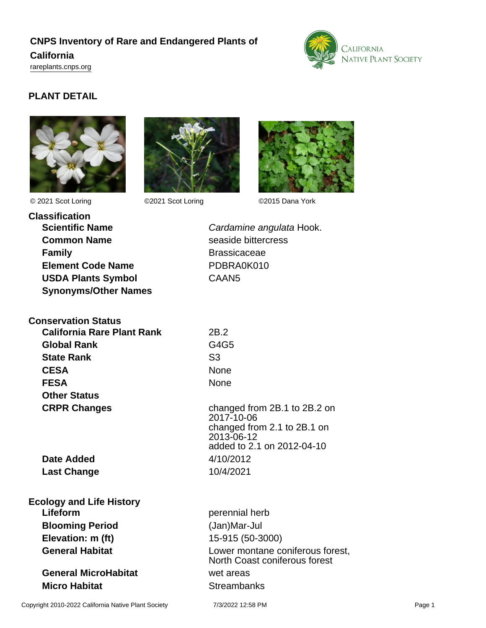# **CNPS Inventory of Rare and Endangered Plants of California**

<rareplants.cnps.org>



# **PLANT DETAIL**







© 2021 Scot Loring ©2021 Scot Loring ©2015 Dana York

**Classification Scientific Name** Cardamine angulata Hook. **Common Name** seaside bittercress **Family Brassicaceae Element Code Name** PDBRA0K010 **USDA Plants Symbol** CAAN5 **Synonyms/Other Names**

**Conservation Status California Rare Plant Rank** 2B.2 **Global Rank** G4G5 **State Rank** S3 **CESA** None **FESA** None **Other Status CRPR Changes** changed from 2B.1 to 2B.2 on

2017-10-06 changed from 2.1 to 2B.1 on 2013-06-12 added to 2.1 on 2012-04-10

**Date Added** 4/10/2012 **Last Change** 10/4/2021

**Ecology and Life History Lifeform** perennial herb **Blooming Period** (Jan)Mar-Jul **Elevation: m (ft)** 15-915 (50-3000)

**General MicroHabitat** wet areas **Micro Habitat** Streambanks

**General Habitat Conservery Conservery Conservery Conservery Conservery Conservery Conservery Conservery Conservery Conservery Conservery Conservery Conservery Conservery Conservery Conservery Conservery Conservery Conse** North Coast coniferous forest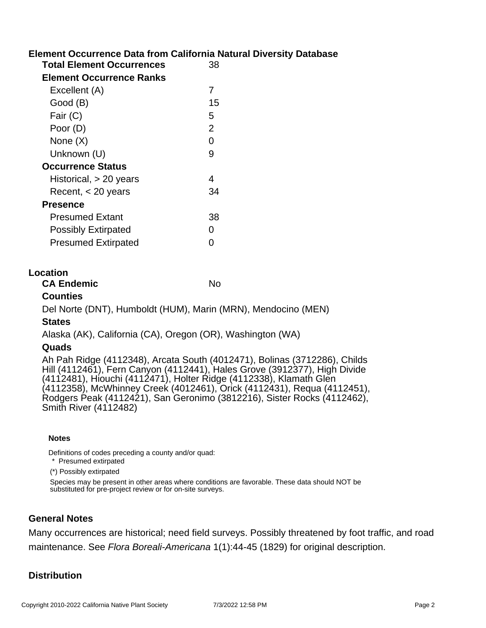## **Element Occurrence Data from California Natural Diversity Database**

| <b>Total Element Occurrences</b> | 38             |
|----------------------------------|----------------|
| <b>Element Occurrence Ranks</b>  |                |
| Excellent (A)                    | 7              |
| Good (B)                         | 15             |
| Fair (C)                         | 5              |
| Poor (D)                         | $\overline{2}$ |
| None (X)                         | ი              |
| Unknown (U)                      | 9              |
| <b>Occurrence Status</b>         |                |
| Historical, $> 20$ years         | 4              |
| Recent, $<$ 20 years             | 34             |
| <b>Presence</b>                  |                |
| Presumed Extant                  | 38             |
| <b>Possibly Extirpated</b>       | O              |
| <b>Presumed Extirpated</b>       |                |
|                                  |                |

#### **Location**

| <b>CA Endemic</b> | No |
|-------------------|----|
|-------------------|----|

#### **Counties**

Del Norte (DNT), Humboldt (HUM), Marin (MRN), Mendocino (MEN)

#### **States**

Alaska (AK), California (CA), Oregon (OR), Washington (WA)

#### **Quads**

Ah Pah Ridge (4112348), Arcata South (4012471), Bolinas (3712286), Childs Hill (4112461), Fern Canyon (4112441), Hales Grove (3912377), High Divide (4112481), Hiouchi (4112471), Holter Ridge (4112338), Klamath Glen (4112358), McWhinney Creek (4012461), Orick (4112431), Requa (4112451), Rodgers Peak (4112421), San Geronimo (3812216), Sister Rocks (4112462), Smith River (4112482)

#### **Notes**

Definitions of codes preceding a county and/or quad:

\* Presumed extirpated

(\*) Possibly extirpated

Species may be present in other areas where conditions are favorable. These data should NOT be substituted for pre-project review or for on-site surveys.

#### **General Notes**

Many occurrences are historical; need field surveys. Possibly threatened by foot traffic, and road maintenance. See Flora Boreali-Americana 1(1):44-45 (1829) for original description.

### **Distribution**